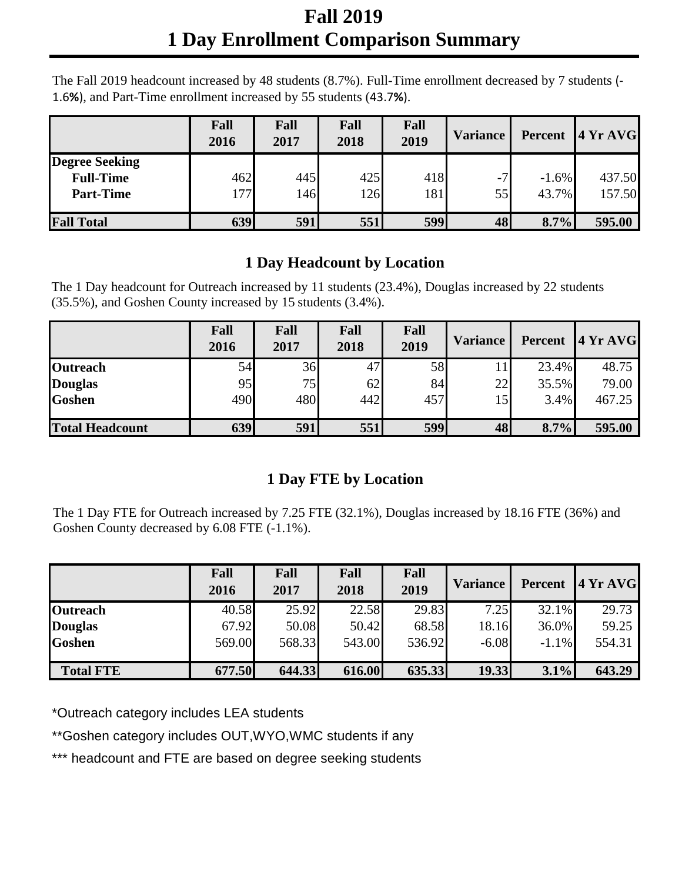## **Fall 2019 1 Day Enrollment Comparison Summary**

The Fall 2019 headcount increased by 48 students (8.7%). Full-Time enrollment decreased by 7 students (‐ 1.6**%**), and Part-Time enrollment increased by 55 students (43.7**%**).

|                       | Fall<br>2016 | Fall<br>2017 | Fall<br>2018 | Fall<br>2019 | <b>Variance</b> | Percent | 4YrAVG |
|-----------------------|--------------|--------------|--------------|--------------|-----------------|---------|--------|
| <b>Degree Seeking</b> |              |              |              |              |                 |         |        |
| <b>Full-Time</b>      | 462          | 445          | 425          | 418          | $-7'$           | $-1.6%$ | 437.50 |
| <b>Part-Time</b>      | 177          | 146          | 126          | 181          | 55              | 43.7%   | 157.50 |
| <b>Fall Total</b>     | 639          | 591          | 551          | 599          | 48              | 8.7%    | 595.00 |

## **1 Day Headcount by Location**

The 1 Day headcount for Outreach increased by 11 students (23.4%), Douglas increased by 22 students (35.5%), and Goshen County increased by 15 students (3.4%).

|                        | Fall<br>2016 | Fall<br>2017 | Fall<br>2018 | Fall<br>2019 | <b>Variance</b> |       | Percent 4 Yr AVG |
|------------------------|--------------|--------------|--------------|--------------|-----------------|-------|------------------|
| Outreach               | 54           | 36           | 47           | 58           |                 | 23.4% | 48.75            |
| <b>Douglas</b>         | 95           | 75           | 62           | 84           | 22              | 35.5% | 79.00            |
| <b>Goshen</b>          | 490          | 480          | 442          | 457          | 15              | 3.4%  | 467.25           |
| <b>Total Headcount</b> | 639          | 591          | 551          | 599          | 48              | 8.7%  | 595.00           |

## **1 Day FTE by Location**

The 1 Day FTE for Outreach increased by 7.25 FTE (32.1%), Douglas increased by 18.16 FTE (36%) and Goshen County decreased by 6.08 FTE (-1.1%).

|                  | Fall<br>2016 | Fall<br>2017 | Fall<br>2018 | Fall<br>2019 | <b>Variance</b> | Percent | 4YrAVG |
|------------------|--------------|--------------|--------------|--------------|-----------------|---------|--------|
| <b>Outreach</b>  | 40.58        | 25.92        | 22.58        | 29.83        | 7.25            | 32.1%   | 29.73  |
| <b>Douglas</b>   | 67.92        | 50.08        | 50.42        | 68.58        | 18.16           | 36.0%   | 59.25  |
| <b>Goshen</b>    | 569.00       | 568.33       | 543.00       | 536.92       | $-6.08$         | $-1.1%$ | 554.31 |
| <b>Total FTE</b> | 677.50       | 644.33       | 616.00       | 635.33       | 19.33           | 3.1%    | 643.29 |

\*Outreach category includes LEA students

\*\*Goshen category includes OUT,WYO,WMC students if any

\*\*\* headcount and FTE are based on degree seeking students